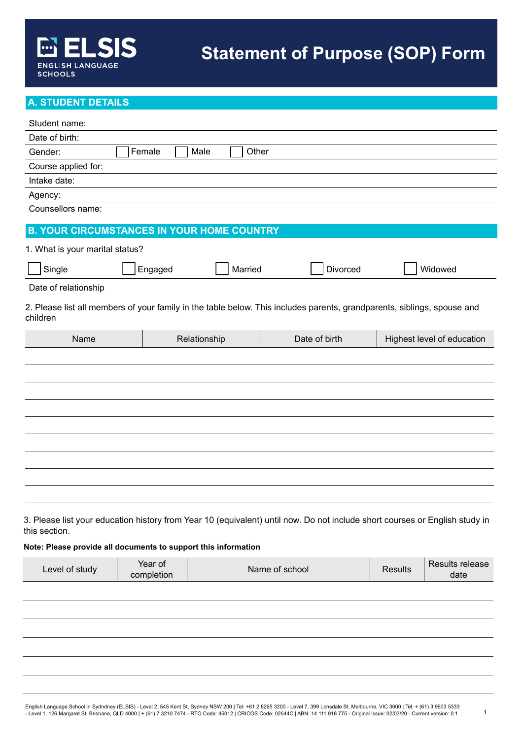# **A. STUDENT DETAILS**

| Student name:                                                  |                       |               |                                                                                                                             |                |                            |
|----------------------------------------------------------------|-----------------------|---------------|-----------------------------------------------------------------------------------------------------------------------------|----------------|----------------------------|
| Date of birth:                                                 |                       |               |                                                                                                                             |                |                            |
| Gender:                                                        | Female                | Male<br>Other |                                                                                                                             |                |                            |
| Course applied for:                                            |                       |               |                                                                                                                             |                |                            |
| Intake date:                                                   |                       |               |                                                                                                                             |                |                            |
| Agency:                                                        |                       |               |                                                                                                                             |                |                            |
| Counsellors name:                                              |                       |               |                                                                                                                             |                |                            |
| <b>B. YOUR CIRCUMSTANCES IN YOUR HOME COUNTRY</b>              |                       |               |                                                                                                                             |                |                            |
| 1. What is your marital status?                                |                       |               |                                                                                                                             |                |                            |
| Single                                                         | Engaged               | Married       | Divorced                                                                                                                    |                | Widowed                    |
| Date of relationship                                           |                       |               |                                                                                                                             |                |                            |
| children                                                       |                       |               | 2. Please list all members of your family in the table below. This includes parents, grandparents, siblings, spouse and     |                |                            |
| Name                                                           |                       | Relationship  | Date of birth                                                                                                               |                | Highest level of education |
|                                                                |                       |               |                                                                                                                             |                |                            |
|                                                                |                       |               |                                                                                                                             |                |                            |
|                                                                |                       |               |                                                                                                                             |                |                            |
|                                                                |                       |               |                                                                                                                             |                |                            |
|                                                                |                       |               |                                                                                                                             |                |                            |
|                                                                |                       |               |                                                                                                                             |                |                            |
|                                                                |                       |               |                                                                                                                             |                |                            |
|                                                                |                       |               |                                                                                                                             |                |                            |
|                                                                |                       |               |                                                                                                                             |                |                            |
|                                                                |                       |               |                                                                                                                             |                |                            |
| this section.                                                  |                       |               | 3. Please list your education history from Year 10 (equivalent) until now. Do not include short courses or English study in |                |                            |
| Note: Please provide all documents to support this information |                       |               |                                                                                                                             |                |                            |
| Level of study                                                 | Year of<br>completion |               | Name of school                                                                                                              | <b>Results</b> | Results release<br>date    |

1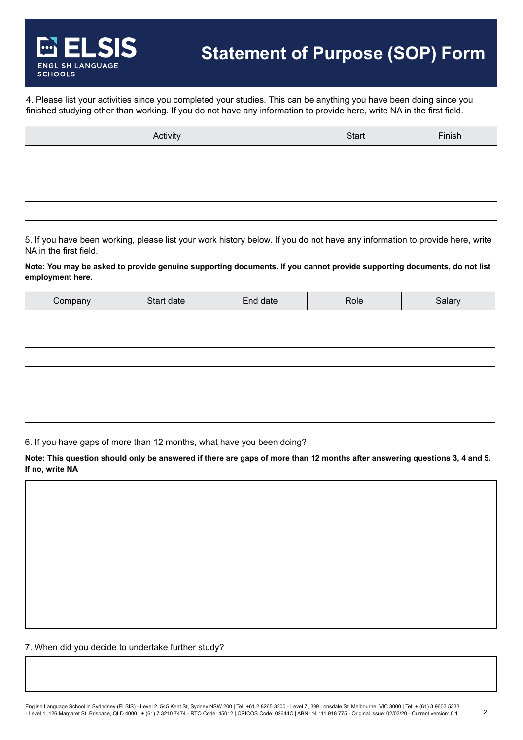4. Please list your activities since you completed your studies. This can be anything you have been doing since you finished studying other than working. If you do not have any information to provide here, write NA in the first field.

| Activity | Start | Finish |
|----------|-------|--------|
|          |       |        |
|          |       |        |
|          |       |        |
|          |       |        |

5. If you have been working, please list your work history below. If you do not have any information to provide here, write NA in the first field.

**Note: You may be asked to provide genuine supporting documents. If you cannot provide supporting documents, do not list employment here.**

| Company | Start date | End date | Role | Salary |
|---------|------------|----------|------|--------|
|         |            |          |      |        |
|         |            |          |      |        |
|         |            |          |      |        |
|         |            |          |      |        |
|         |            |          |      |        |
|         |            |          |      |        |

6. If you have gaps of more than 12 months, what have you been doing?

**Note: This question should only be answered if there are gaps of more than 12 months after answering questions 3, 4 and 5. If no, write NA**

7. When did you decide to undertake further study?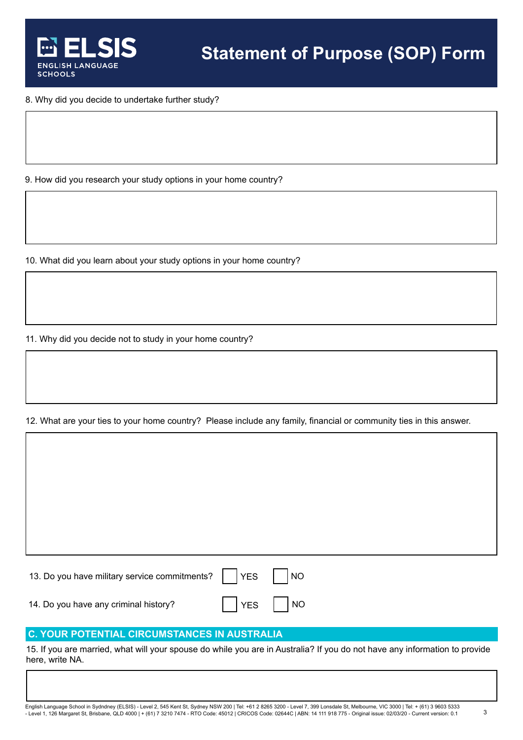

8. Why did you decide to undertake further study?

9. How did you research your study options in your home country?

10. What did you learn about your study options in your home country?

11. Why did you decide not to study in your home country?

12. What are your ties to your home country? Please include any family, financial or community ties in this answer.

13. Do you have military service commitments?  $\begin{array}{|c|c|c|c|c|c|c|c|c|} \hline \end{array}$  NO 14. Do you have any criminal history?  $\blacksquare$  | YES | | NO

## **C. YOUR POTENTIAL CIRCUMSTANCES IN AUSTRALIA**

15. If you are married, what will your spouse do while you are in Australia? If you do not have any information to provide here, write NA.

English Language School in Sydndney (ELSIS) - Level 2, 545 Kent St, Sydney NSW 200 | Tel: +61 2 8265 3200 - Level 7, 399 Lonsdale St, Melbourne, VIC 3000 | Tel: + (61) 3 9603 5333 - Level 1, 126 Margaret St, Brisbane, QLD 4000 | + (61) 7 3210 7474 - RTO Code: 45012 | CRICOS Code: 02644C | ABN: 14 111 918 775 - Original issue: 02/03/20 - Current version: 0.1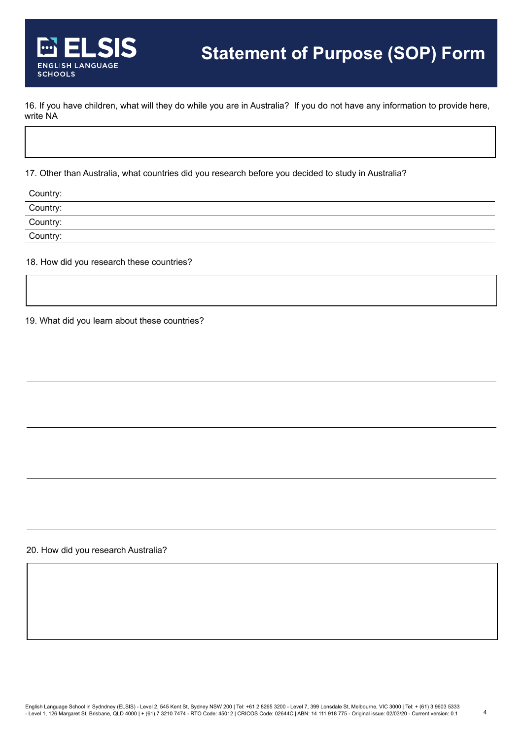16. If you have children, what will they do while you are in Australia? If you do not have any information to provide here, write NA

17. Other than Australia, what countries did you research before you decided to study in Australia?

| Country:             |  |
|----------------------|--|
|                      |  |
| Country:<br>Country: |  |
| Country:             |  |
|                      |  |

18. How did you research these countries?

19. What did you learn about these countries?

20. How did you research Australia?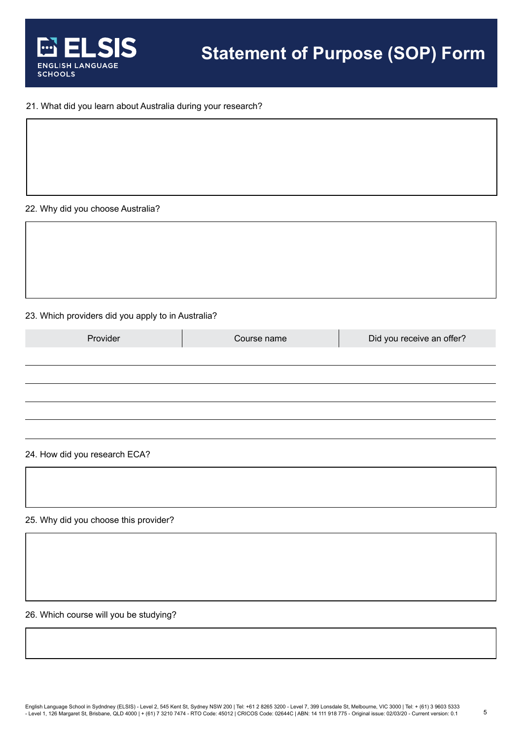

### 21. What did you learn about Australia during your research?

### 22. Why did you choose Australia?

#### 23. Which providers did you apply to in Australia?

| Provider | Course name | Did you receive an offer? |
|----------|-------------|---------------------------|
|          |             |                           |
|          |             |                           |
|          |             |                           |
|          |             |                           |
|          |             |                           |

### 24. How did you research ECA?

25. Why did you choose this provider?

26. Which course will you be studying?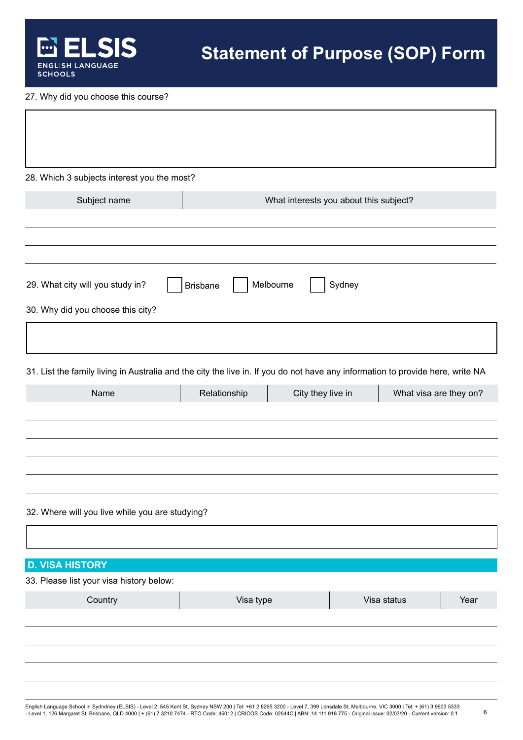

27. Why did you choose this course?

| 28. Which 3 subjects interest you the most?                                                                                    |                 |                                        |             |                        |
|--------------------------------------------------------------------------------------------------------------------------------|-----------------|----------------------------------------|-------------|------------------------|
| Subject name                                                                                                                   |                 | What interests you about this subject? |             |                        |
|                                                                                                                                |                 |                                        |             |                        |
| 29. What city will you study in?<br>30. Why did you choose this city?                                                          | <b>Brisbane</b> | Melbourne<br>Sydney                    |             |                        |
|                                                                                                                                |                 |                                        |             |                        |
| 31. List the family living in Australia and the city the live in. If you do not have any information to provide here, write NA |                 |                                        |             |                        |
| Name                                                                                                                           | Relationship    | City they live in                      |             | What visa are they on? |
|                                                                                                                                |                 |                                        |             |                        |
| 32. Where will you live while you are studying?                                                                                |                 |                                        |             |                        |
| <b>D. VISA HISTORY</b>                                                                                                         |                 |                                        |             |                        |
| 33. Please list your visa history below:                                                                                       |                 |                                        |             |                        |
| Country                                                                                                                        | Visa type       |                                        | Visa status | Year                   |
|                                                                                                                                |                 |                                        |             |                        |
|                                                                                                                                |                 |                                        |             |                        |
|                                                                                                                                |                 |                                        |             |                        |

6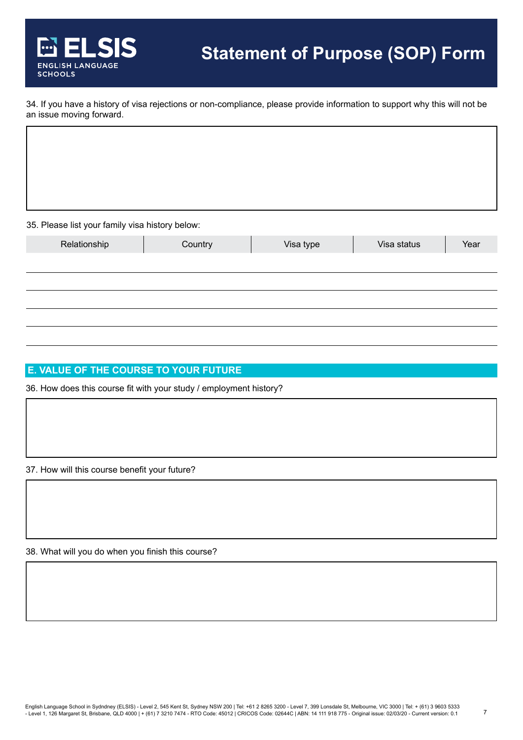

34. If you have a history of visa rejections or non-compliance, please provide information to support why this will not be an issue moving forward.

35. Please list your family visa history below:

| $\sim$       | . .     |           |             |      |
|--------------|---------|-----------|-------------|------|
| Relationship | Country | Visa type | Visa status | Year |
|              |         |           |             |      |
|              |         |           |             |      |
|              |         |           |             |      |
|              |         |           |             |      |
|              |         |           |             |      |

# **E. VALUE OF THE COURSE TO YOUR FUTURE**

36. How does this course fit with your study / employment history?

37. How will this course benefit your future?

38. What will you do when you finish this course?